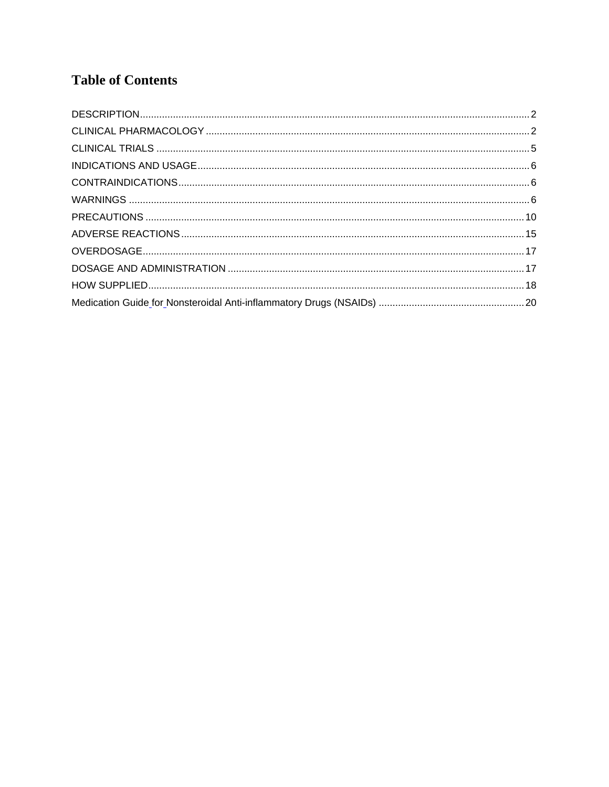# **Table of Contents**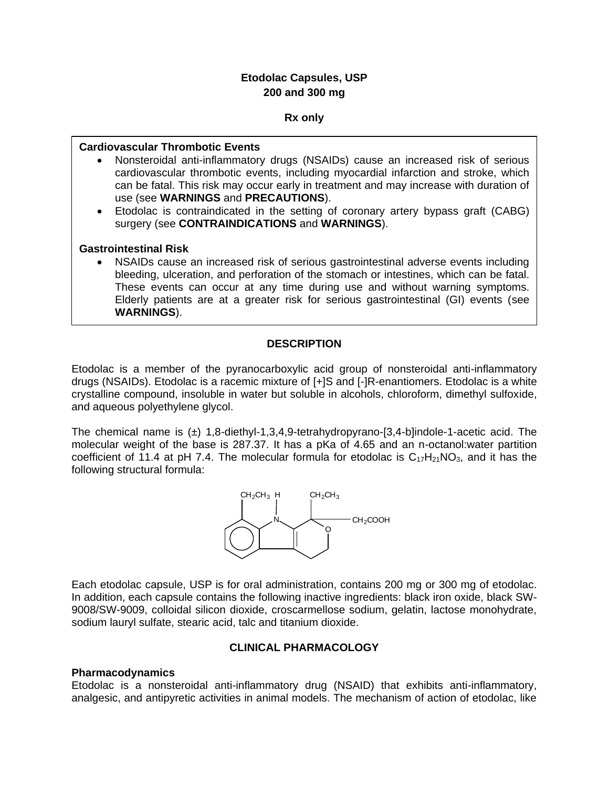### **Etodolac Capsules, USP 200 and 300 mg**

### **Rx only**

### **Cardiovascular Thrombotic Events**

- Nonsteroidal anti-inflammatory drugs (NSAIDs) cause an increased risk of serious cardiovascular thrombotic events, including myocardial infarction and stroke, which can be fatal. This risk may occur early in treatment and may increase with duration of use (see **WARNINGS** and **PRECAUTIONS**).
- Etodolac is contraindicated in the setting of coronary artery bypass graft (CABG) surgery (see **CONTRAINDICATIONS** and **WARNINGS**).

### **Gastrointestinal Risk**

• NSAIDs cause an increased risk of serious gastrointestinal adverse events including bleeding, ulceration, and perforation of the stomach or intestines, which can be fatal. These events can occur at any time during use and without warning symptoms. Elderly patients are at a greater risk for serious gastrointestinal (GI) events (see **WARNINGS**).

### **DESCRIPTION**

<span id="page-1-0"></span>Etodolac is a member of the pyranocarboxylic acid group of nonsteroidal anti-inflammatory drugs (NSAIDs). Etodolac is a racemic mixture of [+]S and [-]R-enantiomers. Etodolac is a white crystalline compound, insoluble in water but soluble in alcohols, chloroform, dimethyl sulfoxide, and aqueous polyethylene glycol.

The chemical name is (±) 1,8-diethyl-1,3,4,9-tetrahydropyrano-[3,4-b]indole-1-acetic acid. The molecular weight of the base is 287.37. It has a pKa of 4.65 and an n-octanol:water partition coefficient of 11.4 at pH 7.4. The molecular formula for etodolac is  $C_{17}H_{21}NO_3$ , and it has the following structural formula:



Each etodolac capsule, USP is for oral administration, contains 200 mg or 300 mg of etodolac. In addition, each capsule contains the following inactive ingredients: black iron oxide, black SW-9008/SW-9009, colloidal silicon dioxide, croscarmellose sodium, gelatin, lactose monohydrate, sodium lauryl sulfate, stearic acid, talc and titanium dioxide.

### **CLINICAL PHARMACOLOGY**

### <span id="page-1-1"></span>**Pharmacodynamics**

Etodolac is a nonsteroidal anti-inflammatory drug (NSAID) that exhibits anti-inflammatory, analgesic, and antipyretic activities in animal models. The mechanism of action of etodolac, like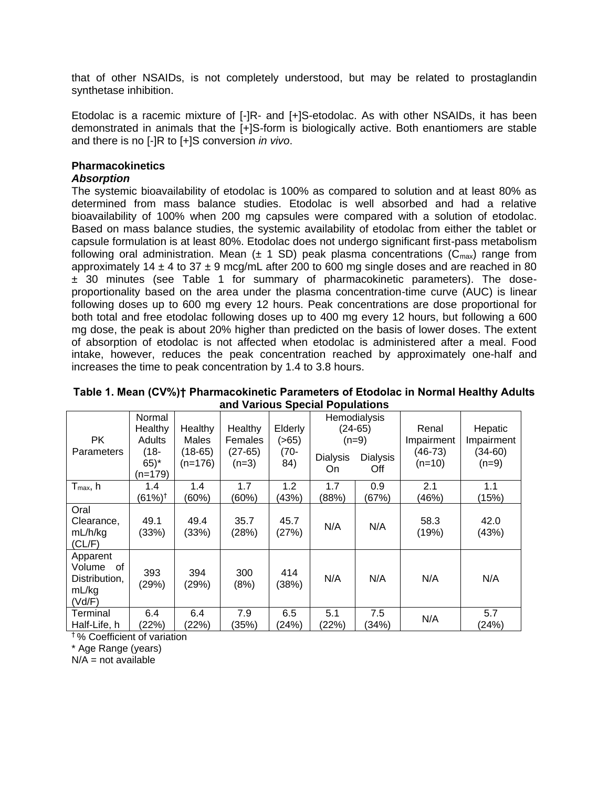that of other NSAIDs, is not completely understood, but may be related to prostaglandin synthetase inhibition.

Etodolac is a racemic mixture of [-]R- and [+]S-etodolac. As with other NSAIDs, it has been demonstrated in animals that the [+]S-form is biologically active. Both enantiomers are stable and there is no [-]R to [+]S conversion *in vivo*.

### **Pharmacokinetics**

### *Absorption*

The systemic bioavailability of etodolac is 100% as compared to solution and at least 80% as determined from mass balance studies. Etodolac is well absorbed and had a relative bioavailability of 100% when 200 mg capsules were compared with a solution of etodolac. Based on mass balance studies, the systemic availability of etodolac from either the tablet or capsule formulation is at least 80%. Etodolac does not undergo significant first-pass metabolism following oral administration. Mean ( $\pm$  1 SD) peak plasma concentrations ( $C_{\text{max}}$ ) range from approximately 14  $\pm$  4 to 37  $\pm$  9 mcg/mL after 200 to 600 mg single doses and are reached in 80 ± 30 minutes (see Table 1 for summary of pharmacokinetic parameters). The doseproportionality based on the area under the plasma concentration-time curve (AUC) is linear following doses up to 600 mg every 12 hours. Peak concentrations are dose proportional for both total and free etodolac following doses up to 400 mg every 12 hours, but following a 600 mg dose, the peak is about 20% higher than predicted on the basis of lower doses. The extent of absorption of etodolac is not affected when etodolac is administered after a meal. Food intake, however, reduces the peak concentration reached by approximately one-half and increases the time to peak concentration by 1.4 to 3.8 hours.

| <b>PK</b><br>Parameters                                      | Normal<br>Healthy<br>Adults<br>$(18 -$<br>$65$ <sup>*</sup><br>(n=179) | Healthy<br>Males<br>$(18-65)$<br>$(n=176)$ | Healthy<br>Females<br>$(27-65)$<br>$(n=3)$ | Elderly<br>( > 65)<br>$(70-$<br>84) | <b>Dialysis</b><br>On | Hemodialysis<br>$(24-65)$<br>$(n=9)$<br><b>Dialysis</b><br>Off | Renal<br>Impairment<br>$(46-73)$<br>$(n=10)$ | Hepatic<br>Impairment<br>$(34-60)$<br>$(n=9)$ |
|--------------------------------------------------------------|------------------------------------------------------------------------|--------------------------------------------|--------------------------------------------|-------------------------------------|-----------------------|----------------------------------------------------------------|----------------------------------------------|-----------------------------------------------|
| $Tmax$ , h                                                   | 1.4<br>(61%)†                                                          | 1.4<br>(60%)                               | 1.7<br>(60%)                               | 1.2<br>(43%)                        | 1.7<br>(88%)          | 0.9<br>(67%)                                                   | 2.1<br>(46%)                                 | 1.1<br>(15%)                                  |
| Oral<br>Clearance,<br>mL/h/kg<br>(CL/F)                      | 49.1<br>(33%)                                                          | 49.4<br>(33%)                              | 35.7<br>(28%)                              | 45.7<br>(27%)                       | N/A                   | N/A                                                            | 58.3<br>(19%)                                | 42.0<br>(43%)                                 |
| Apparent<br>Volume<br>of<br>Distribution,<br>mL/kg<br>(Vd/F) | 393<br>(29%)                                                           | 394<br>(29%)                               | 300<br>(8%)                                | 414<br>(38%)                        | N/A                   | N/A                                                            | N/A                                          | N/A                                           |
| Terminal<br>Half-Life, h                                     | 6.4<br>(22%)                                                           | 6.4<br>(22%)                               | 7.9<br>(35%)                               | 6.5<br>(24%)                        | 5.1<br>(22%)          | 7.5<br>(34%)                                                   | N/A                                          | 5.7<br>(24%)                                  |

| Table 1. Mean (CV%)† Pharmacokinetic Parameters of Etodolac in Normal Healthy Adults |
|--------------------------------------------------------------------------------------|
| and Various Special Populations                                                      |

† % Coefficient of variation

\* Age Range (years)

 $N/A$  = not available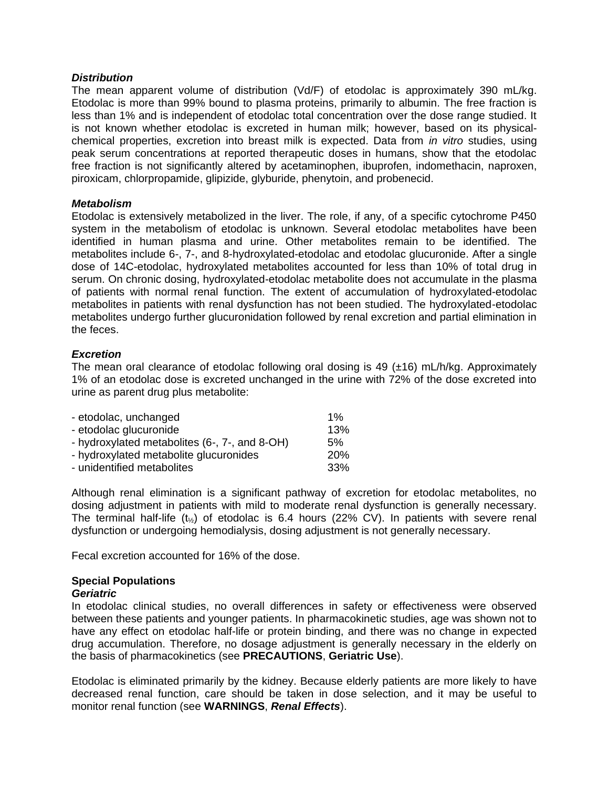### *Distribution*

The mean apparent volume of distribution (Vd/F) of etodolac is approximately 390 mL/kg. Etodolac is more than 99% bound to plasma proteins, primarily to albumin. The free fraction is less than 1% and is independent of etodolac total concentration over the dose range studied. It is not known whether etodolac is excreted in human milk; however, based on its physicalchemical properties, excretion into breast milk is expected. Data from *in vitro* studies, using peak serum concentrations at reported therapeutic doses in humans, show that the etodolac free fraction is not significantly altered by acetaminophen, ibuprofen, indomethacin, naproxen, piroxicam, chlorpropamide, glipizide, glyburide, phenytoin, and probenecid.

### *Metabolism*

Etodolac is extensively metabolized in the liver. The role, if any, of a specific cytochrome P450 system in the metabolism of etodolac is unknown. Several etodolac metabolites have been identified in human plasma and urine. Other metabolites remain to be identified. The metabolites include 6-, 7-, and 8-hydroxylated-etodolac and etodolac glucuronide. After a single dose of 14C-etodolac, hydroxylated metabolites accounted for less than 10% of total drug in serum. On chronic dosing, hydroxylated-etodolac metabolite does not accumulate in the plasma of patients with normal renal function. The extent of accumulation of hydroxylated-etodolac metabolites in patients with renal dysfunction has not been studied. The hydroxylated-etodolac metabolites undergo further glucuronidation followed by renal excretion and partial elimination in the feces.

### *Excretion*

The mean oral clearance of etodolac following oral dosing is 49  $(\pm 16)$  mL/h/kg. Approximately 1% of an etodolac dose is excreted unchanged in the urine with 72% of the dose excreted into urine as parent drug plus metabolite:

| - etodolac, unchanged                         | 1%         |
|-----------------------------------------------|------------|
| - etodolac glucuronide                        | 13%        |
| - hydroxylated metabolites (6-, 7-, and 8-OH) | 5%         |
| - hydroxylated metabolite glucuronides        | <b>20%</b> |
| - unidentified metabolites                    | 33%        |

Although renal elimination is a significant pathway of excretion for etodolac metabolites, no dosing adjustment in patients with mild to moderate renal dysfunction is generally necessary. The terminal half-life  $(t_{\%})$  of etodolac is 6.4 hours (22% CV). In patients with severe renal dysfunction or undergoing hemodialysis, dosing adjustment is not generally necessary.

Fecal excretion accounted for 16% of the dose.

### **Special Populations**

### *Geriatric*

In etodolac clinical studies, no overall differences in safety or effectiveness were observed between these patients and younger patients. In pharmacokinetic studies, age was shown not to have any effect on etodolac half-life or protein binding, and there was no change in expected drug accumulation. Therefore, no dosage adjustment is generally necessary in the elderly on the basis of pharmacokinetics (see **PRECAUTIONS**, **Geriatric Use**).

Etodolac is eliminated primarily by the kidney. Because elderly patients are more likely to have decreased renal function, care should be taken in dose selection, and it may be useful to monitor renal function (see **WARNINGS**, *Renal Effects*).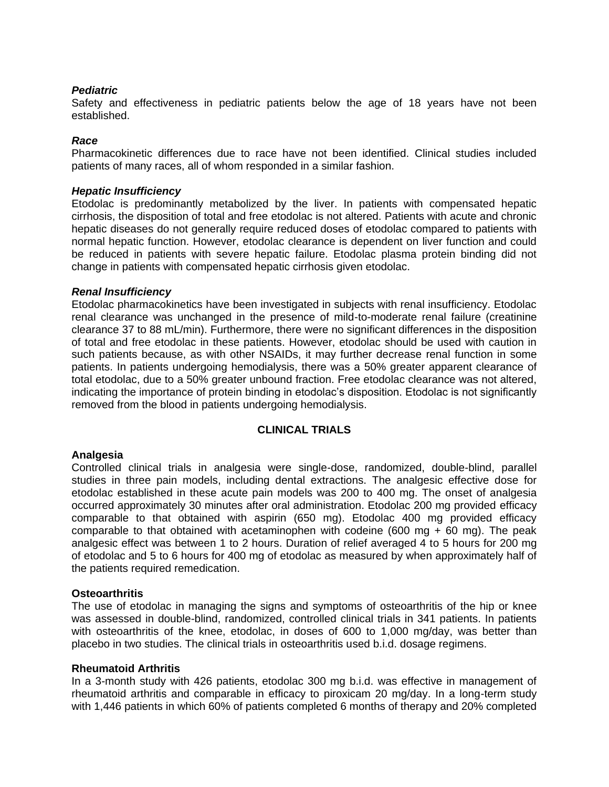### *Pediatric*

Safety and effectiveness in pediatric patients below the age of 18 years have not been established.

### *Race*

Pharmacokinetic differences due to race have not been identified. Clinical studies included patients of many races, all of whom responded in a similar fashion.

### *Hepatic Insufficiency*

Etodolac is predominantly metabolized by the liver. In patients with compensated hepatic cirrhosis, the disposition of total and free etodolac is not altered. Patients with acute and chronic hepatic diseases do not generally require reduced doses of etodolac compared to patients with normal hepatic function. However, etodolac clearance is dependent on liver function and could be reduced in patients with severe hepatic failure. Etodolac plasma protein binding did not change in patients with compensated hepatic cirrhosis given etodolac.

### *Renal Insufficiency*

Etodolac pharmacokinetics have been investigated in subjects with renal insufficiency. Etodolac renal clearance was unchanged in the presence of mild-to-moderate renal failure (creatinine clearance 37 to 88 mL/min). Furthermore, there were no significant differences in the disposition of total and free etodolac in these patients. However, etodolac should be used with caution in such patients because, as with other NSAIDs, it may further decrease renal function in some patients. In patients undergoing hemodialysis, there was a 50% greater apparent clearance of total etodolac, due to a 50% greater unbound fraction. Free etodolac clearance was not altered, indicating the importance of protein binding in etodolac's disposition. Etodolac is not significantly removed from the blood in patients undergoing hemodialysis.

### **CLINICAL TRIALS**

### <span id="page-4-0"></span>**Analgesia**

Controlled clinical trials in analgesia were single-dose, randomized, double-blind, parallel studies in three pain models, including dental extractions. The analgesic effective dose for etodolac established in these acute pain models was 200 to 400 mg. The onset of analgesia occurred approximately 30 minutes after oral administration. Etodolac 200 mg provided efficacy comparable to that obtained with aspirin (650 mg). Etodolac 400 mg provided efficacy comparable to that obtained with acetaminophen with codeine  $(600 \text{ mg} + 60 \text{ mg})$ . The peak analgesic effect was between 1 to 2 hours. Duration of relief averaged 4 to 5 hours for 200 mg of etodolac and 5 to 6 hours for 400 mg of etodolac as measured by when approximately half of the patients required remedication.

### **Osteoarthritis**

The use of etodolac in managing the signs and symptoms of osteoarthritis of the hip or knee was assessed in double-blind, randomized, controlled clinical trials in 341 patients. In patients with osteoarthritis of the knee, etodolac, in doses of 600 to 1,000 mg/day, was better than placebo in two studies. The clinical trials in osteoarthritis used b.i.d. dosage regimens.

### **Rheumatoid Arthritis**

In a 3-month study with 426 patients, etodolac 300 mg b.i.d. was effective in management of rheumatoid arthritis and comparable in efficacy to piroxicam 20 mg/day. In a long-term study with 1,446 patients in which 60% of patients completed 6 months of therapy and 20% completed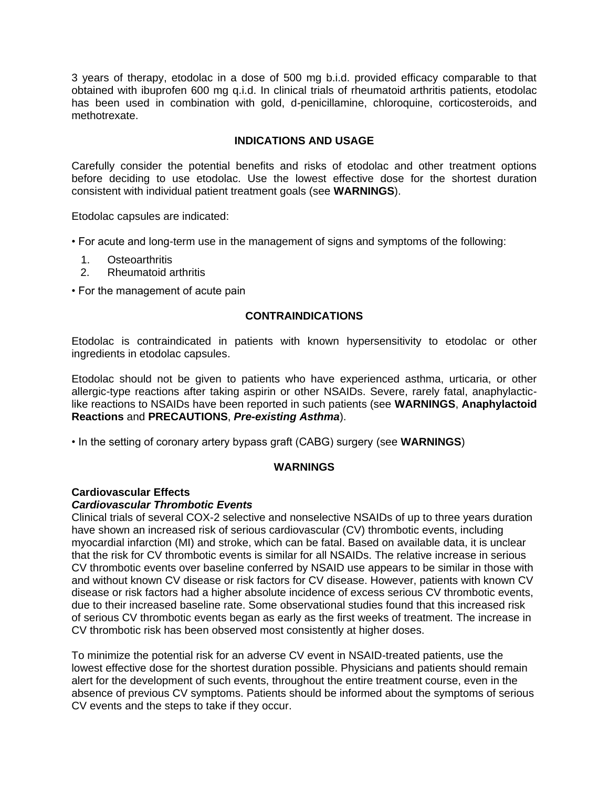3 years of therapy, etodolac in a dose of 500 mg b.i.d. provided efficacy comparable to that obtained with ibuprofen 600 mg q.i.d. In clinical trials of rheumatoid arthritis patients, etodolac has been used in combination with gold, d-penicillamine, chloroquine, corticosteroids, and methotrexate.

### **INDICATIONS AND USAGE**

<span id="page-5-0"></span>Carefully consider the potential benefits and risks of etodolac and other treatment options before deciding to use etodolac. Use the lowest effective dose for the shortest duration consistent with individual patient treatment goals (see **WARNINGS**).

Etodolac capsules are indicated:

- For acute and long-term use in the management of signs and symptoms of the following:
	- 1. Osteoarthritis
	- 2. Rheumatoid arthritis
- <span id="page-5-1"></span>• For the management of acute pain

### **CONTRAINDICATIONS**

Etodolac is contraindicated in patients with known hypersensitivity to etodolac or other ingredients in etodolac capsules.

Etodolac should not be given to patients who have experienced asthma, urticaria, or other allergic-type reactions after taking aspirin or other NSAIDs. Severe, rarely fatal, anaphylacticlike reactions to NSAIDs have been reported in such patients (see **WARNINGS**, **Anaphylactoid Reactions** and **PRECAUTIONS**, *Pre-existing Asthma*).

<span id="page-5-2"></span>• In the setting of coronary artery bypass graft (CABG) surgery (see **WARNINGS**)

#### **WARNINGS**

### **Cardiovascular Effects**

#### *Cardiovascular Thrombotic Events*

Clinical trials of several COX-2 selective and nonselective NSAIDs of up to three years duration have shown an increased risk of serious cardiovascular (CV) thrombotic events, including myocardial infarction (MI) and stroke, which can be fatal. Based on available data, it is unclear that the risk for CV thrombotic events is similar for all NSAIDs. The relative increase in serious CV thrombotic events over baseline conferred by NSAID use appears to be similar in those with and without known CV disease or risk factors for CV disease. However, patients with known CV disease or risk factors had a higher absolute incidence of excess serious CV thrombotic events, due to their increased baseline rate. Some observational studies found that this increased risk of serious CV thrombotic events began as early as the first weeks of treatment. The increase in CV thrombotic risk has been observed most consistently at higher doses.

To minimize the potential risk for an adverse CV event in NSAID-treated patients, use the lowest effective dose for the shortest duration possible. Physicians and patients should remain alert for the development of such events, throughout the entire treatment course, even in the absence of previous CV symptoms. Patients should be informed about the symptoms of serious CV events and the steps to take if they occur.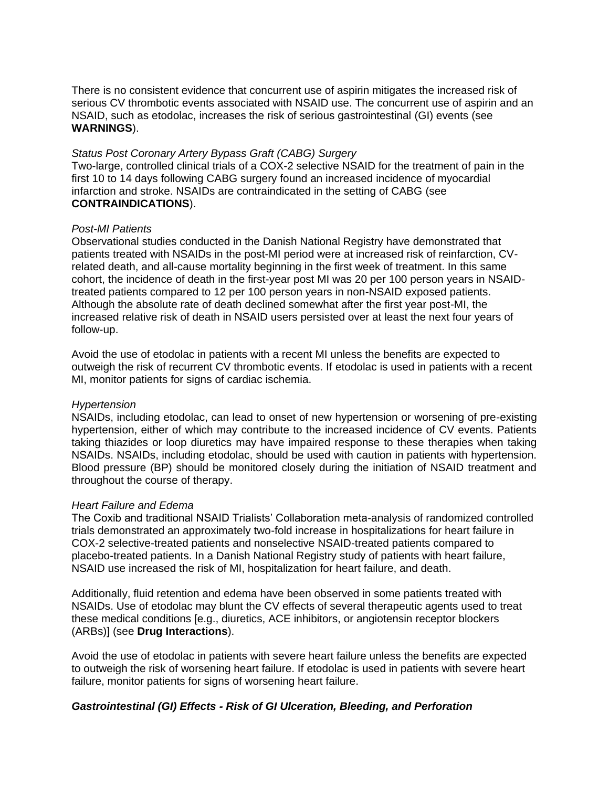There is no consistent evidence that concurrent use of aspirin mitigates the increased risk of serious CV thrombotic events associated with NSAID use. The concurrent use of aspirin and an NSAID, such as etodolac, increases the risk of serious gastrointestinal (GI) events (see **WARNINGS**).

### *Status Post Coronary Artery Bypass Graft (CABG) Surgery*

Two-large, controlled clinical trials of a COX-2 selective NSAID for the treatment of pain in the first 10 to 14 days following CABG surgery found an increased incidence of myocardial infarction and stroke. NSAIDs are contraindicated in the setting of CABG (see **CONTRAINDICATIONS**).

#### *Post-MI Patients*

Observational studies conducted in the Danish National Registry have demonstrated that patients treated with NSAIDs in the post-MI period were at increased risk of reinfarction, CVrelated death, and all-cause mortality beginning in the first week of treatment. In this same cohort, the incidence of death in the first-year post MI was 20 per 100 person years in NSAIDtreated patients compared to 12 per 100 person years in non-NSAID exposed patients. Although the absolute rate of death declined somewhat after the first year post-MI, the increased relative risk of death in NSAID users persisted over at least the next four years of follow-up.

Avoid the use of etodolac in patients with a recent MI unless the benefits are expected to outweigh the risk of recurrent CV thrombotic events. If etodolac is used in patients with a recent MI, monitor patients for signs of cardiac ischemia.

### *Hypertension*

NSAIDs, including etodolac, can lead to onset of new hypertension or worsening of pre-existing hypertension, either of which may contribute to the increased incidence of CV events. Patients taking thiazides or loop diuretics may have impaired response to these therapies when taking NSAIDs. NSAIDs, including etodolac, should be used with caution in patients with hypertension. Blood pressure (BP) should be monitored closely during the initiation of NSAID treatment and throughout the course of therapy.

### *Heart Failure and Edema*

The Coxib and traditional NSAID Trialists' Collaboration meta-analysis of randomized controlled trials demonstrated an approximately two-fold increase in hospitalizations for heart failure in COX-2 selective-treated patients and nonselective NSAID-treated patients compared to placebo-treated patients. In a Danish National Registry study of patients with heart failure, NSAID use increased the risk of MI, hospitalization for heart failure, and death.

Additionally, fluid retention and edema have been observed in some patients treated with NSAIDs. Use of etodolac may blunt the CV effects of several therapeutic agents used to treat these medical conditions [e.g., diuretics, ACE inhibitors, or angiotensin receptor blockers (ARBs)] (see **Drug Interactions**).

Avoid the use of etodolac in patients with severe heart failure unless the benefits are expected to outweigh the risk of worsening heart failure. If etodolac is used in patients with severe heart failure, monitor patients for signs of worsening heart failure.

### *Gastrointestinal (GI) Effects - Risk of GI Ulceration, Bleeding, and Perforation*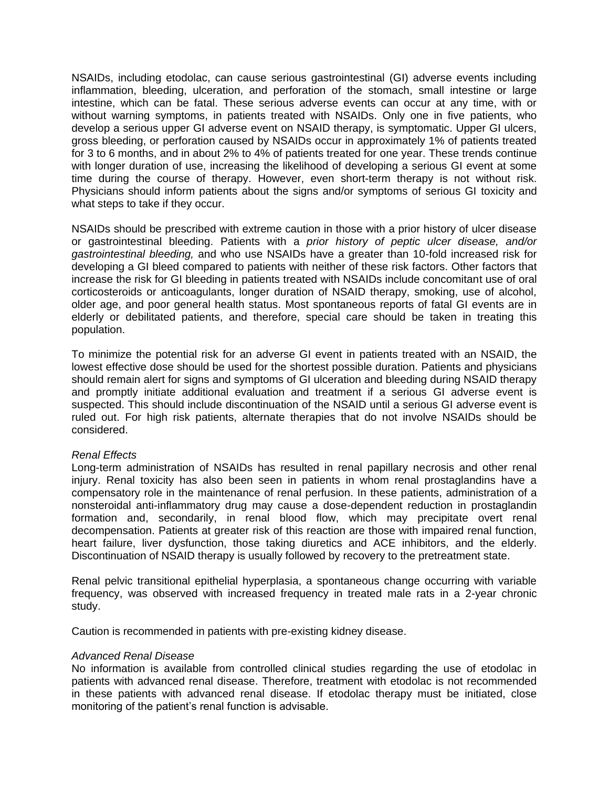NSAIDs, including etodolac, can cause serious gastrointestinal (GI) adverse events including inflammation, bleeding, ulceration, and perforation of the stomach, small intestine or large intestine, which can be fatal. These serious adverse events can occur at any time, with or without warning symptoms, in patients treated with NSAIDs. Only one in five patients, who develop a serious upper GI adverse event on NSAID therapy, is symptomatic. Upper GI ulcers, gross bleeding, or perforation caused by NSAIDs occur in approximately 1% of patients treated for 3 to 6 months, and in about 2% to 4% of patients treated for one year. These trends continue with longer duration of use, increasing the likelihood of developing a serious GI event at some time during the course of therapy. However, even short-term therapy is not without risk. Physicians should inform patients about the signs and/or symptoms of serious GI toxicity and what steps to take if they occur.

NSAIDs should be prescribed with extreme caution in those with a prior history of ulcer disease or gastrointestinal bleeding. Patients with a *prior history of peptic ulcer disease, and/or gastrointestinal bleeding,* and who use NSAIDs have a greater than 10-fold increased risk for developing a GI bleed compared to patients with neither of these risk factors. Other factors that increase the risk for GI bleeding in patients treated with NSAIDs include concomitant use of oral corticosteroids or anticoagulants, longer duration of NSAID therapy, smoking, use of alcohol, older age, and poor general health status. Most spontaneous reports of fatal GI events are in elderly or debilitated patients, and therefore, special care should be taken in treating this population.

To minimize the potential risk for an adverse GI event in patients treated with an NSAID, the lowest effective dose should be used for the shortest possible duration. Patients and physicians should remain alert for signs and symptoms of GI ulceration and bleeding during NSAID therapy and promptly initiate additional evaluation and treatment if a serious GI adverse event is suspected. This should include discontinuation of the NSAID until a serious GI adverse event is ruled out. For high risk patients, alternate therapies that do not involve NSAIDs should be considered.

### *Renal Effects*

Long-term administration of NSAIDs has resulted in renal papillary necrosis and other renal injury. Renal toxicity has also been seen in patients in whom renal prostaglandins have a compensatory role in the maintenance of renal perfusion. In these patients, administration of a nonsteroidal anti-inflammatory drug may cause a dose-dependent reduction in prostaglandin formation and, secondarily, in renal blood flow, which may precipitate overt renal decompensation. Patients at greater risk of this reaction are those with impaired renal function, heart failure, liver dysfunction, those taking diuretics and ACE inhibitors, and the elderly. Discontinuation of NSAID therapy is usually followed by recovery to the pretreatment state.

Renal pelvic transitional epithelial hyperplasia, a spontaneous change occurring with variable frequency, was observed with increased frequency in treated male rats in a 2-year chronic study.

Caution is recommended in patients with pre-existing kidney disease.

#### *Advanced Renal Disease*

No information is available from controlled clinical studies regarding the use of etodolac in patients with advanced renal disease. Therefore, treatment with etodolac is not recommended in these patients with advanced renal disease. If etodolac therapy must be initiated, close monitoring of the patient's renal function is advisable.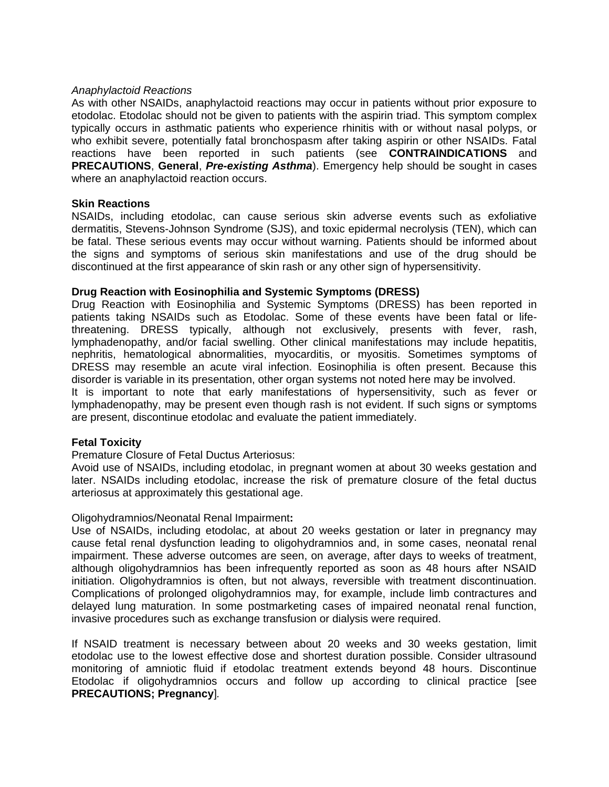#### *Anaphylactoid Reactions*

As with other NSAIDs, anaphylactoid reactions may occur in patients without prior exposure to etodolac. Etodolac should not be given to patients with the aspirin triad. This symptom complex typically occurs in asthmatic patients who experience rhinitis with or without nasal polyps, or who exhibit severe, potentially fatal bronchospasm after taking aspirin or other NSAIDs. Fatal reactions have been reported in such patients (see **CONTRAINDICATIONS** and **PRECAUTIONS**, **General**, *Pre-existing Asthma*). Emergency help should be sought in cases where an anaphylactoid reaction occurs.

#### **Skin Reactions**

NSAIDs, including etodolac, can cause serious skin adverse events such as exfoliative dermatitis, Stevens-Johnson Syndrome (SJS), and toxic epidermal necrolysis (TEN), which can be fatal. These serious events may occur without warning. Patients should be informed about the signs and symptoms of serious skin manifestations and use of the drug should be discontinued at the first appearance of skin rash or any other sign of hypersensitivity.

### **Drug Reaction with Eosinophilia and Systemic Symptoms (DRESS)**

Drug Reaction with Eosinophilia and Systemic Symptoms (DRESS) has been reported in patients taking NSAIDs such as Etodolac. Some of these events have been fatal or lifethreatening. DRESS typically, although not exclusively, presents with fever, rash, lymphadenopathy, and/or facial swelling. Other clinical manifestations may include hepatitis, nephritis, hematological abnormalities, myocarditis, or myositis. Sometimes symptoms of DRESS may resemble an acute viral infection. Eosinophilia is often present. Because this disorder is variable in its presentation, other organ systems not noted here may be involved.

It is important to note that early manifestations of hypersensitivity, such as fever or lymphadenopathy, may be present even though rash is not evident. If such signs or symptoms are present, discontinue etodolac and evaluate the patient immediately.

### **Fetal Toxicity**

Premature Closure of Fetal Ductus Arteriosus:

Avoid use of NSAIDs, including etodolac, in pregnant women at about 30 weeks gestation and later. NSAIDs including etodolac, increase the risk of premature closure of the fetal ductus arteriosus at approximately this gestational age.

#### Oligohydramnios/Neonatal Renal Impairment**:**

Use of NSAIDs, including etodolac, at about 20 weeks gestation or later in pregnancy may cause fetal renal dysfunction leading to oligohydramnios and, in some cases, neonatal renal impairment. These adverse outcomes are seen, on average, after days to weeks of treatment, although oligohydramnios has been infrequently reported as soon as 48 hours after NSAID initiation. Oligohydramnios is often, but not always, reversible with treatment discontinuation. Complications of prolonged oligohydramnios may, for example, include limb contractures and delayed lung maturation. In some postmarketing cases of impaired neonatal renal function, invasive procedures such as exchange transfusion or dialysis were required.

If NSAID treatment is necessary between about 20 weeks and 30 weeks gestation, limit etodolac use to the lowest effective dose and shortest duration possible. Consider ultrasound monitoring of amniotic fluid if etodolac treatment extends beyond 48 hours. Discontinue Etodolac if oligohydramnios occurs and follow up according to clinical practice [see **PRECAUTIONS; Pregnancy**]*.*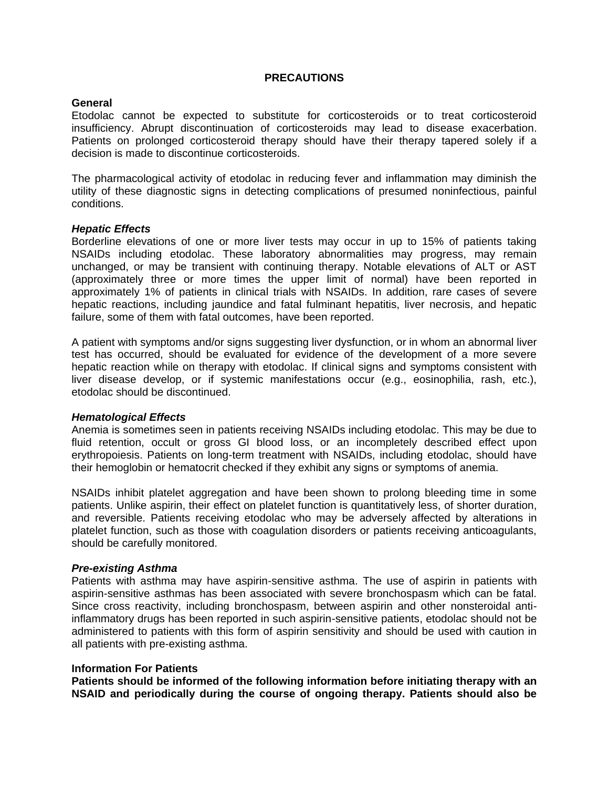#### **PRECAUTIONS**

#### <span id="page-9-0"></span>**General**

Etodolac cannot be expected to substitute for corticosteroids or to treat corticosteroid insufficiency. Abrupt discontinuation of corticosteroids may lead to disease exacerbation. Patients on prolonged corticosteroid therapy should have their therapy tapered solely if a decision is made to discontinue corticosteroids.

The pharmacological activity of etodolac in reducing fever and inflammation may diminish the utility of these diagnostic signs in detecting complications of presumed noninfectious, painful conditions.

#### *Hepatic Effects*

Borderline elevations of one or more liver tests may occur in up to 15% of patients taking NSAIDs including etodolac. These laboratory abnormalities may progress, may remain unchanged, or may be transient with continuing therapy. Notable elevations of ALT or AST (approximately three or more times the upper limit of normal) have been reported in approximately 1% of patients in clinical trials with NSAIDs. In addition, rare cases of severe hepatic reactions, including jaundice and fatal fulminant hepatitis, liver necrosis, and hepatic failure, some of them with fatal outcomes, have been reported.

A patient with symptoms and/or signs suggesting liver dysfunction, or in whom an abnormal liver test has occurred, should be evaluated for evidence of the development of a more severe hepatic reaction while on therapy with etodolac. If clinical signs and symptoms consistent with liver disease develop, or if systemic manifestations occur (e.g., eosinophilia, rash, etc.), etodolac should be discontinued.

### *Hematological Effects*

Anemia is sometimes seen in patients receiving NSAIDs including etodolac. This may be due to fluid retention, occult or gross GI blood loss, or an incompletely described effect upon erythropoiesis. Patients on long-term treatment with NSAIDs, including etodolac, should have their hemoglobin or hematocrit checked if they exhibit any signs or symptoms of anemia.

NSAIDs inhibit platelet aggregation and have been shown to prolong bleeding time in some patients. Unlike aspirin, their effect on platelet function is quantitatively less, of shorter duration, and reversible. Patients receiving etodolac who may be adversely affected by alterations in platelet function, such as those with coagulation disorders or patients receiving anticoagulants, should be carefully monitored.

### *Pre-existing Asthma*

Patients with asthma may have aspirin-sensitive asthma. The use of aspirin in patients with aspirin-sensitive asthmas has been associated with severe bronchospasm which can be fatal. Since cross reactivity, including bronchospasm, between aspirin and other nonsteroidal antiinflammatory drugs has been reported in such aspirin-sensitive patients, etodolac should not be administered to patients with this form of aspirin sensitivity and should be used with caution in all patients with pre-existing asthma.

### **Information For Patients**

**Patients should be informed of the following information before initiating therapy with an NSAID and periodically during the course of ongoing therapy. Patients should also be**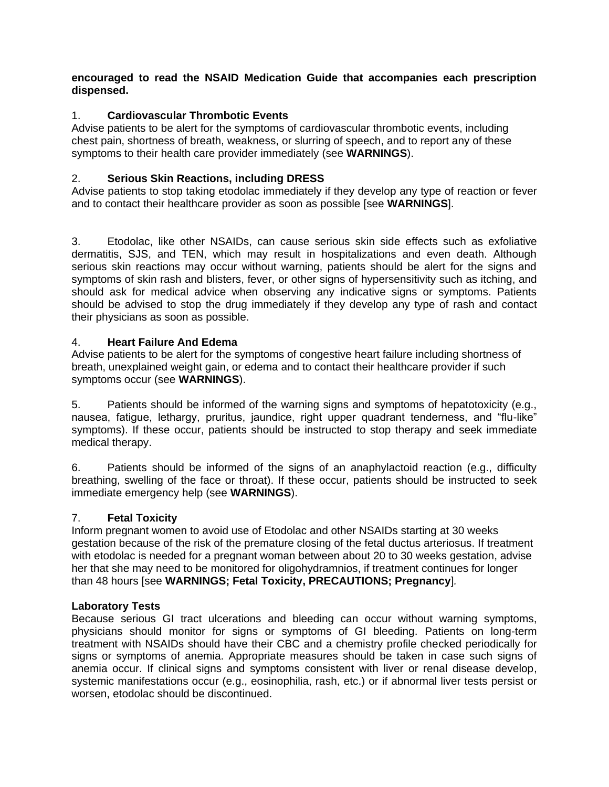### **encouraged to read the NSAID Medication Guide that accompanies each prescription dispensed.**

### 1. **Cardiovascular Thrombotic Events**

Advise patients to be alert for the symptoms of cardiovascular thrombotic events, including chest pain, shortness of breath, weakness, or slurring of speech, and to report any of these symptoms to their health care provider immediately (see **WARNINGS**).

### 2. **Serious Skin Reactions, including DRESS**

Advise patients to stop taking etodolac immediately if they develop any type of reaction or fever and to contact their healthcare provider as soon as possible [see **WARNINGS**].

3. Etodolac, like other NSAIDs, can cause serious skin side effects such as exfoliative dermatitis, SJS, and TEN, which may result in hospitalizations and even death. Although serious skin reactions may occur without warning, patients should be alert for the signs and symptoms of skin rash and blisters, fever, or other signs of hypersensitivity such as itching, and should ask for medical advice when observing any indicative signs or symptoms. Patients should be advised to stop the drug immediately if they develop any type of rash and contact their physicians as soon as possible.

### 4. **Heart Failure And Edema**

Advise patients to be alert for the symptoms of congestive heart failure including shortness of breath, unexplained weight gain, or edema and to contact their healthcare provider if such symptoms occur (see **WARNINGS**).

5. Patients should be informed of the warning signs and symptoms of hepatotoxicity (e.g., nausea, fatigue, lethargy, pruritus, jaundice, right upper quadrant tenderness, and "flu-like" symptoms). If these occur, patients should be instructed to stop therapy and seek immediate medical therapy.

6. Patients should be informed of the signs of an anaphylactoid reaction (e.g., difficulty breathing, swelling of the face or throat). If these occur, patients should be instructed to seek immediate emergency help (see **WARNINGS**).

### 7. **Fetal Toxicity**

Inform pregnant women to avoid use of Etodolac and other NSAIDs starting at 30 weeks gestation because of the risk of the premature closing of the fetal ductus arteriosus. If treatment with etodolac is needed for a pregnant woman between about 20 to 30 weeks gestation, advise her that she may need to be monitored for oligohydramnios, if treatment continues for longer than 48 hours [see **WARNINGS; Fetal Toxicity, PRECAUTIONS; Pregnancy**]*.*

### **Laboratory Tests**

Because serious GI tract ulcerations and bleeding can occur without warning symptoms, physicians should monitor for signs or symptoms of GI bleeding. Patients on long-term treatment with NSAIDs should have their CBC and a chemistry profile checked periodically for signs or symptoms of anemia. Appropriate measures should be taken in case such signs of anemia occur. If clinical signs and symptoms consistent with liver or renal disease develop, systemic manifestations occur (e.g., eosinophilia, rash, etc.) or if abnormal liver tests persist or worsen, etodolac should be discontinued.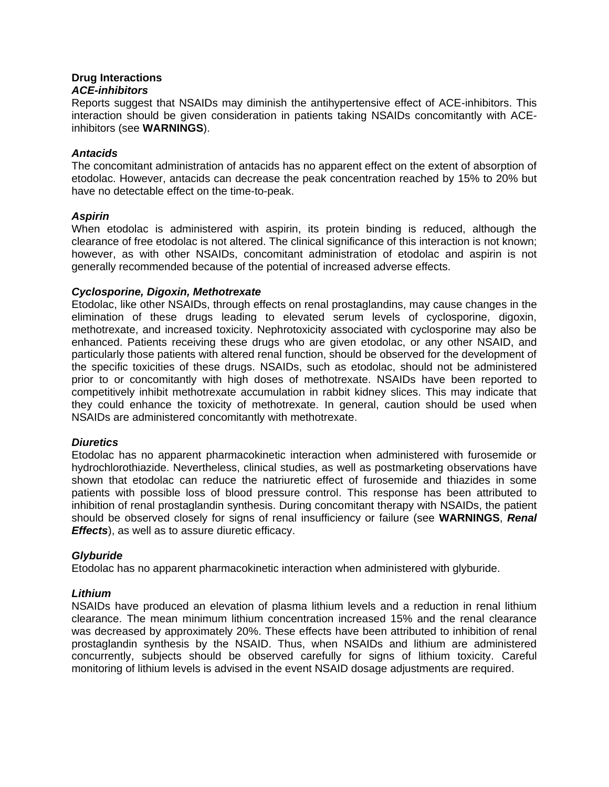#### **Drug Interactions** *ACE-inhibitors*

Reports suggest that NSAIDs may diminish the antihypertensive effect of ACE-inhibitors. This interaction should be given consideration in patients taking NSAIDs concomitantly with ACEinhibitors (see **WARNINGS**).

### *Antacids*

The concomitant administration of antacids has no apparent effect on the extent of absorption of etodolac. However, antacids can decrease the peak concentration reached by 15% to 20% but have no detectable effect on the time-to-peak.

### *Aspirin*

When etodolac is administered with aspirin, its protein binding is reduced, although the clearance of free etodolac is not altered. The clinical significance of this interaction is not known; however, as with other NSAIDs, concomitant administration of etodolac and aspirin is not generally recommended because of the potential of increased adverse effects.

### *Cyclosporine, Digoxin, Methotrexate*

Etodolac, like other NSAIDs, through effects on renal prostaglandins, may cause changes in the elimination of these drugs leading to elevated serum levels of cyclosporine, digoxin, methotrexate, and increased toxicity. Nephrotoxicity associated with cyclosporine may also be enhanced. Patients receiving these drugs who are given etodolac, or any other NSAID, and particularly those patients with altered renal function, should be observed for the development of the specific toxicities of these drugs. NSAIDs, such as etodolac, should not be administered prior to or concomitantly with high doses of methotrexate. NSAIDs have been reported to competitively inhibit methotrexate accumulation in rabbit kidney slices. This may indicate that they could enhance the toxicity of methotrexate. In general, caution should be used when NSAIDs are administered concomitantly with methotrexate.

### *Diuretics*

Etodolac has no apparent pharmacokinetic interaction when administered with furosemide or hydrochlorothiazide. Nevertheless, clinical studies, as well as postmarketing observations have shown that etodolac can reduce the natriuretic effect of furosemide and thiazides in some patients with possible loss of blood pressure control. This response has been attributed to inhibition of renal prostaglandin synthesis. During concomitant therapy with NSAIDs, the patient should be observed closely for signs of renal insufficiency or failure (see **WARNINGS**, *Renal Effects*), as well as to assure diuretic efficacy.

### *Glyburide*

Etodolac has no apparent pharmacokinetic interaction when administered with glyburide.

### *Lithium*

NSAIDs have produced an elevation of plasma lithium levels and a reduction in renal lithium clearance. The mean minimum lithium concentration increased 15% and the renal clearance was decreased by approximately 20%. These effects have been attributed to inhibition of renal prostaglandin synthesis by the NSAID. Thus, when NSAIDs and lithium are administered concurrently, subjects should be observed carefully for signs of lithium toxicity. Careful monitoring of lithium levels is advised in the event NSAID dosage adjustments are required.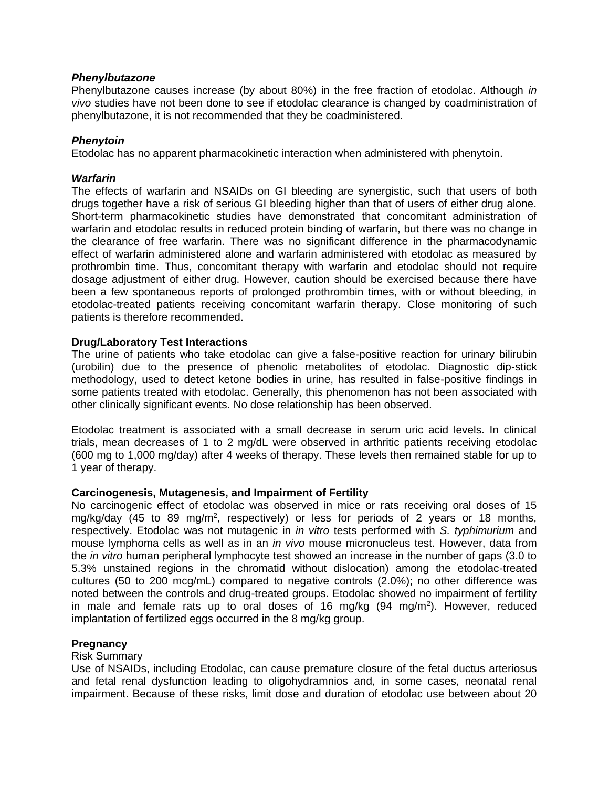### *Phenylbutazone*

Phenylbutazone causes increase (by about 80%) in the free fraction of etodolac. Although *in vivo* studies have not been done to see if etodolac clearance is changed by coadministration of phenylbutazone, it is not recommended that they be coadministered.

### *Phenytoin*

Etodolac has no apparent pharmacokinetic interaction when administered with phenytoin.

### *Warfarin*

The effects of warfarin and NSAIDs on GI bleeding are synergistic, such that users of both drugs together have a risk of serious GI bleeding higher than that of users of either drug alone. Short-term pharmacokinetic studies have demonstrated that concomitant administration of warfarin and etodolac results in reduced protein binding of warfarin, but there was no change in the clearance of free warfarin. There was no significant difference in the pharmacodynamic effect of warfarin administered alone and warfarin administered with etodolac as measured by prothrombin time. Thus, concomitant therapy with warfarin and etodolac should not require dosage adjustment of either drug. However, caution should be exercised because there have been a few spontaneous reports of prolonged prothrombin times, with or without bleeding, in etodolac-treated patients receiving concomitant warfarin therapy. Close monitoring of such patients is therefore recommended.

### **Drug/Laboratory Test Interactions**

The urine of patients who take etodolac can give a false-positive reaction for urinary bilirubin (urobilin) due to the presence of phenolic metabolites of etodolac. Diagnostic dip-stick methodology, used to detect ketone bodies in urine, has resulted in false-positive findings in some patients treated with etodolac. Generally, this phenomenon has not been associated with other clinically significant events. No dose relationship has been observed.

Etodolac treatment is associated with a small decrease in serum uric acid levels. In clinical trials, mean decreases of 1 to 2 mg/dL were observed in arthritic patients receiving etodolac (600 mg to 1,000 mg/day) after 4 weeks of therapy. These levels then remained stable for up to 1 year of therapy.

### **Carcinogenesis, Mutagenesis, and Impairment of Fertility**

No carcinogenic effect of etodolac was observed in mice or rats receiving oral doses of 15 mg/kg/day (45 to 89 mg/m<sup>2</sup>, respectively) or less for periods of 2 years or 18 months, respectively. Etodolac was not mutagenic in *in vitro* tests performed with *S. typhimurium* and mouse lymphoma cells as well as in an *in vivo* mouse micronucleus test. However, data from the *in vitro* human peripheral lymphocyte test showed an increase in the number of gaps (3.0 to 5.3% unstained regions in the chromatid without dislocation) among the etodolac-treated cultures (50 to 200 mcg/mL) compared to negative controls (2.0%); no other difference was noted between the controls and drug-treated groups. Etodolac showed no impairment of fertility in male and female rats up to oral doses of 16 mg/kg (94 mg/m<sup>2</sup> ). However, reduced implantation of fertilized eggs occurred in the 8 mg/kg group.

### **Pregnancy**

### Risk Summary

Use of NSAIDs, including Etodolac, can cause premature closure of the fetal ductus arteriosus and fetal renal dysfunction leading to oligohydramnios and, in some cases, neonatal renal impairment. Because of these risks, limit dose and duration of etodolac use between about 20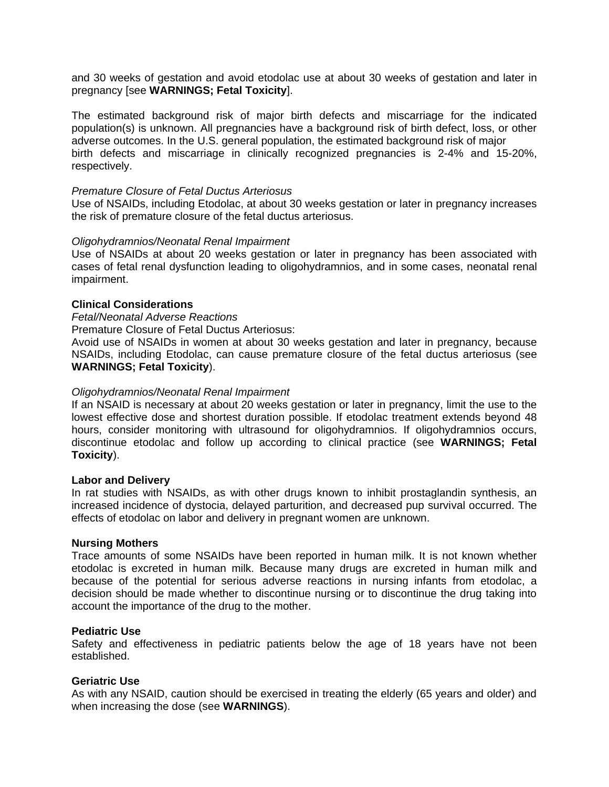and 30 weeks of gestation and avoid etodolac use at about 30 weeks of gestation and later in pregnancy [see **WARNINGS; Fetal Toxicity**].

The estimated background risk of major birth defects and miscarriage for the indicated population(s) is unknown. All pregnancies have a background risk of birth defect, loss, or other adverse outcomes. In the U.S. general population, the estimated background risk of major birth defects and miscarriage in clinically recognized pregnancies is 2-4% and 15-20%, respectively.

#### *Premature Closure of Fetal Ductus Arteriosus*

Use of NSAIDs, including Etodolac, at about 30 weeks gestation or later in pregnancy increases the risk of premature closure of the fetal ductus arteriosus.

#### *Oligohydramnios/Neonatal Renal Impairment*

Use of NSAIDs at about 20 weeks gestation or later in pregnancy has been associated with cases of fetal renal dysfunction leading to oligohydramnios, and in some cases, neonatal renal impairment.

#### **Clinical Considerations**

#### *Fetal/Neonatal Adverse Reactions*

Premature Closure of Fetal Ductus Arteriosus:

Avoid use of NSAIDs in women at about 30 weeks gestation and later in pregnancy, because NSAIDs, including Etodolac, can cause premature closure of the fetal ductus arteriosus (see **WARNINGS; Fetal Toxicity**).

#### *Oligohydramnios/Neonatal Renal Impairment*

If an NSAID is necessary at about 20 weeks gestation or later in pregnancy, limit the use to the lowest effective dose and shortest duration possible. If etodolac treatment extends beyond 48 hours, consider monitoring with ultrasound for oligohydramnios. If oligohydramnios occurs, discontinue etodolac and follow up according to clinical practice (see **WARNINGS; Fetal Toxicity**).

#### **Labor and Delivery**

In rat studies with NSAIDs, as with other drugs known to inhibit prostaglandin synthesis, an increased incidence of dystocia, delayed parturition, and decreased pup survival occurred. The effects of etodolac on labor and delivery in pregnant women are unknown.

#### **Nursing Mothers**

Trace amounts of some NSAIDs have been reported in human milk. It is not known whether etodolac is excreted in human milk. Because many drugs are excreted in human milk and because of the potential for serious adverse reactions in nursing infants from etodolac, a decision should be made whether to discontinue nursing or to discontinue the drug taking into account the importance of the drug to the mother.

#### **Pediatric Use**

Safety and effectiveness in pediatric patients below the age of 18 years have not been established.

### **Geriatric Use**

As with any NSAID, caution should be exercised in treating the elderly (65 years and older) and when increasing the dose (see **WARNINGS**).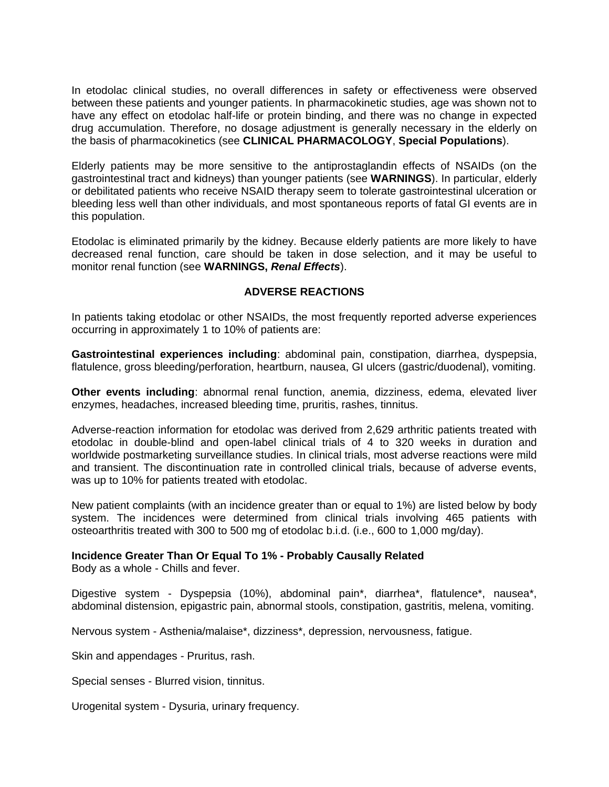In etodolac clinical studies, no overall differences in safety or effectiveness were observed between these patients and younger patients. In pharmacokinetic studies, age was shown not to have any effect on etodolac half-life or protein binding, and there was no change in expected drug accumulation. Therefore, no dosage adjustment is generally necessary in the elderly on the basis of pharmacokinetics (see **CLINICAL PHARMACOLOGY**, **Special Populations**).

Elderly patients may be more sensitive to the antiprostaglandin effects of NSAIDs (on the gastrointestinal tract and kidneys) than younger patients (see **WARNINGS**). In particular, elderly or debilitated patients who receive NSAID therapy seem to tolerate gastrointestinal ulceration or bleeding less well than other individuals, and most spontaneous reports of fatal GI events are in this population.

Etodolac is eliminated primarily by the kidney. Because elderly patients are more likely to have decreased renal function, care should be taken in dose selection, and it may be useful to monitor renal function (see **WARNINGS,** *Renal Effects*).

### **ADVERSE REACTIONS**

<span id="page-14-0"></span>In patients taking etodolac or other NSAIDs, the most frequently reported adverse experiences occurring in approximately 1 to 10% of patients are:

**Gastrointestinal experiences including**: abdominal pain, constipation, diarrhea, dyspepsia, flatulence, gross bleeding/perforation, heartburn, nausea, GI ulcers (gastric/duodenal), vomiting.

**Other events including**: abnormal renal function, anemia, dizziness, edema, elevated liver enzymes, headaches, increased bleeding time, pruritis, rashes, tinnitus.

Adverse-reaction information for etodolac was derived from 2,629 arthritic patients treated with etodolac in double-blind and open-label clinical trials of 4 to 320 weeks in duration and worldwide postmarketing surveillance studies. In clinical trials, most adverse reactions were mild and transient. The discontinuation rate in controlled clinical trials, because of adverse events, was up to 10% for patients treated with etodolac.

New patient complaints (with an incidence greater than or equal to 1%) are listed below by body system. The incidences were determined from clinical trials involving 465 patients with osteoarthritis treated with 300 to 500 mg of etodolac b.i.d. (i.e., 600 to 1,000 mg/day).

### **Incidence Greater Than Or Equal To 1% - Probably Causally Related**

Body as a whole - Chills and fever.

Digestive system - Dyspepsia (10%), abdominal pain\*, diarrhea\*, flatulence\*, nausea\*, abdominal distension, epigastric pain, abnormal stools, constipation, gastritis, melena, vomiting.

Nervous system - Asthenia/malaise\*, dizziness\*, depression, nervousness, fatigue.

Skin and appendages - Pruritus, rash.

Special senses - Blurred vision, tinnitus.

Urogenital system - Dysuria, urinary frequency.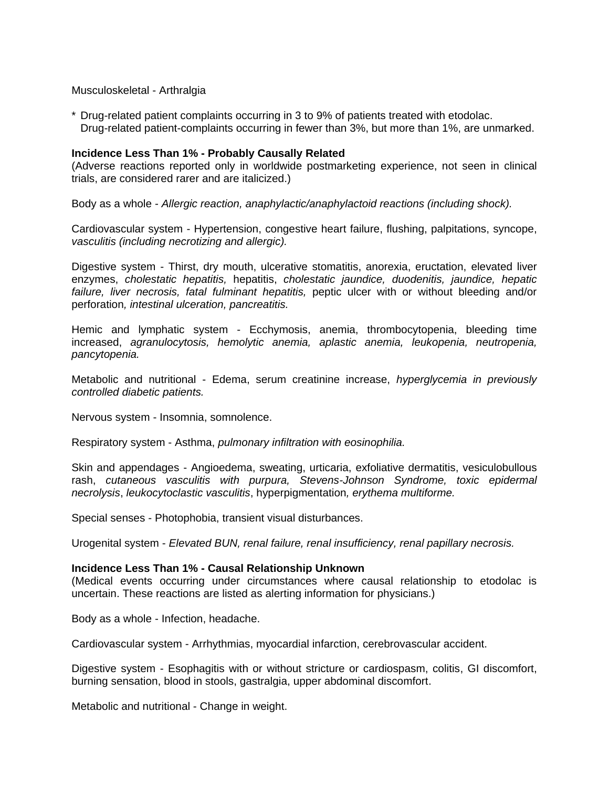### Musculoskeletal - Arthralgia

\* Drug-related patient complaints occurring in 3 to 9% of patients treated with etodolac. Drug-related patient-complaints occurring in fewer than 3%, but more than 1%, are unmarked.

#### **Incidence Less Than 1% - Probably Causally Related**

(Adverse reactions reported only in worldwide postmarketing experience, not seen in clinical trials, are considered rarer and are italicized.)

Body as a whole - *Allergic reaction, anaphylactic/anaphylactoid reactions (including shock).*

Cardiovascular system - Hypertension, congestive heart failure, flushing, palpitations, syncope, *vasculitis (including necrotizing and allergic).*

Digestive system - Thirst, dry mouth, ulcerative stomatitis, anorexia, eructation, elevated liver enzymes, *cholestatic hepatitis,* hepatitis, *cholestatic jaundice, duodenitis, jaundice, hepatic failure, liver necrosis, fatal fulminant hepatitis,* peptic ulcer with or without bleeding and/or perforation*, intestinal ulceration, pancreatitis.*

Hemic and lymphatic system - Ecchymosis, anemia, thrombocytopenia, bleeding time increased, *agranulocytosis, hemolytic anemia, aplastic anemia, leukopenia, neutropenia, pancytopenia.*

Metabolic and nutritional - Edema, serum creatinine increase, *hyperglycemia in previously controlled diabetic patients.*

Nervous system - Insomnia, somnolence.

Respiratory system - Asthma, *pulmonary infiltration with eosinophilia.*

Skin and appendages - Angioedema, sweating, urticaria, exfoliative dermatitis, vesiculobullous rash, *cutaneous vasculitis with purpura, Stevens-Johnson Syndrome, toxic epidermal necrolysis*, *leukocytoclastic vasculitis*, hyperpigmentation*, erythema multiforme.*

Special senses - Photophobia, transient visual disturbances.

Urogenital system - *Elevated BUN, renal failure, renal insufficiency, renal papillary necrosis.*

### **Incidence Less Than 1% - Causal Relationship Unknown**

(Medical events occurring under circumstances where causal relationship to etodolac is uncertain. These reactions are listed as alerting information for physicians.)

Body as a whole - Infection, headache.

Cardiovascular system - Arrhythmias, myocardial infarction, cerebrovascular accident.

Digestive system - Esophagitis with or without stricture or cardiospasm, colitis, GI discomfort, burning sensation, blood in stools, gastralgia, upper abdominal discomfort.

Metabolic and nutritional - Change in weight.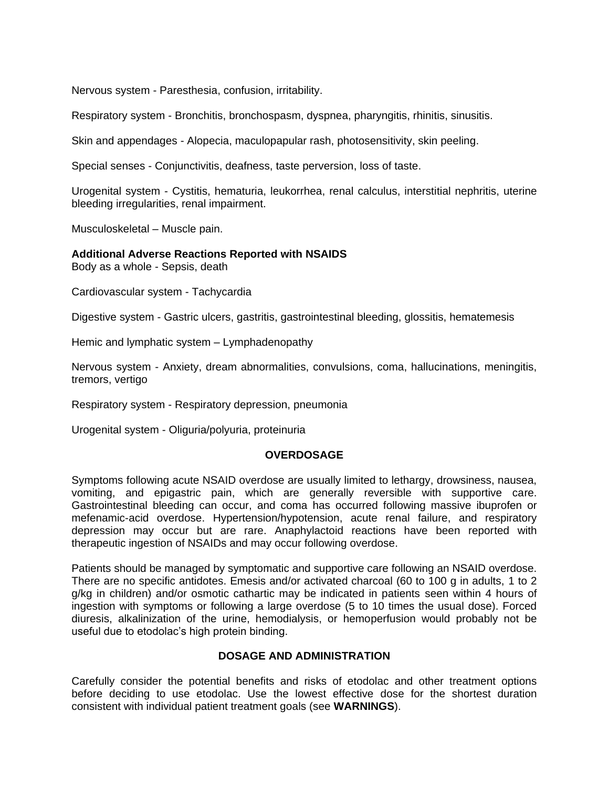Nervous system - Paresthesia, confusion, irritability.

Respiratory system - Bronchitis, bronchospasm, dyspnea, pharyngitis, rhinitis, sinusitis.

Skin and appendages - Alopecia, maculopapular rash, photosensitivity, skin peeling.

Special senses - Conjunctivitis, deafness, taste perversion, loss of taste.

Urogenital system - Cystitis, hematuria, leukorrhea, renal calculus, interstitial nephritis, uterine bleeding irregularities, renal impairment.

Musculoskeletal – Muscle pain.

#### **Additional Adverse Reactions Reported with NSAIDS**

Body as a whole - Sepsis, death

Cardiovascular system - Tachycardia

Digestive system - Gastric ulcers, gastritis, gastrointestinal bleeding, glossitis, hematemesis

Hemic and lymphatic system – Lymphadenopathy

Nervous system - Anxiety, dream abnormalities, convulsions, coma, hallucinations, meningitis, tremors, vertigo

Respiratory system - Respiratory depression, pneumonia

<span id="page-16-0"></span>Urogenital system - Oliguria/polyuria, proteinuria

#### **OVERDOSAGE**

Symptoms following acute NSAID overdose are usually limited to lethargy, drowsiness, nausea, vomiting, and epigastric pain, which are generally reversible with supportive care. Gastrointestinal bleeding can occur, and coma has occurred following massive ibuprofen or mefenamic-acid overdose. Hypertension/hypotension, acute renal failure, and respiratory depression may occur but are rare. Anaphylactoid reactions have been reported with therapeutic ingestion of NSAIDs and may occur following overdose.

Patients should be managed by symptomatic and supportive care following an NSAID overdose. There are no specific antidotes. Emesis and/or activated charcoal (60 to 100 g in adults, 1 to 2 g/kg in children) and/or osmotic cathartic may be indicated in patients seen within 4 hours of ingestion with symptoms or following a large overdose (5 to 10 times the usual dose). Forced diuresis, alkalinization of the urine, hemodialysis, or hemoperfusion would probably not be useful due to etodolac's high protein binding.

### **DOSAGE AND ADMINISTRATION**

<span id="page-16-1"></span>Carefully consider the potential benefits and risks of etodolac and other treatment options before deciding to use etodolac. Use the lowest effective dose for the shortest duration consistent with individual patient treatment goals (see **WARNINGS**).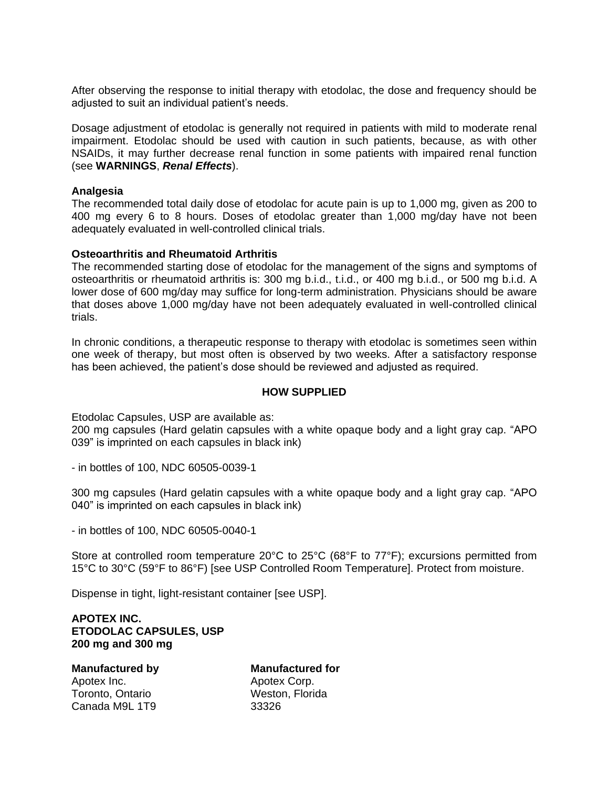After observing the response to initial therapy with etodolac, the dose and frequency should be adjusted to suit an individual patient's needs.

Dosage adjustment of etodolac is generally not required in patients with mild to moderate renal impairment. Etodolac should be used with caution in such patients, because, as with other NSAIDs, it may further decrease renal function in some patients with impaired renal function (see **WARNINGS**, *Renal Effects*).

#### **Analgesia**

The recommended total daily dose of etodolac for acute pain is up to 1,000 mg, given as 200 to 400 mg every 6 to 8 hours. Doses of etodolac greater than 1,000 mg/day have not been adequately evaluated in well-controlled clinical trials.

#### **Osteoarthritis and Rheumatoid Arthritis**

The recommended starting dose of etodolac for the management of the signs and symptoms of osteoarthritis or rheumatoid arthritis is: 300 mg b.i.d., t.i.d., or 400 mg b.i.d., or 500 mg b.i.d. A lower dose of 600 mg/day may suffice for long-term administration. Physicians should be aware that doses above 1,000 mg/day have not been adequately evaluated in well-controlled clinical trials.

In chronic conditions, a therapeutic response to therapy with etodolac is sometimes seen within one week of therapy, but most often is observed by two weeks. After a satisfactory response has been achieved, the patient's dose should be reviewed and adjusted as required.

#### **HOW SUPPLIED**

<span id="page-17-0"></span>Etodolac Capsules, USP are available as:

200 mg capsules (Hard gelatin capsules with a white opaque body and a light gray cap. "APO 039" is imprinted on each capsules in black ink)

- in bottles of 100, NDC 60505-0039-1

300 mg capsules (Hard gelatin capsules with a white opaque body and a light gray cap. "APO 040" is imprinted on each capsules in black ink)

- in bottles of 100, NDC 60505-0040-1

Store at controlled room temperature 20°C to 25°C (68°F to 77°F); excursions permitted from 15°C to 30°C (59°F to 86°F) [see USP Controlled Room Temperature]. Protect from moisture.

Dispense in tight, light-resistant container [see USP].

### **APOTEX INC. ETODOLAC CAPSULES, USP 200 mg and 300 mg**

**Manufactured by** Apotex Inc. Toronto, Ontario Canada M9L 1T9

**Manufactured for** Apotex Corp. Weston, Florida 33326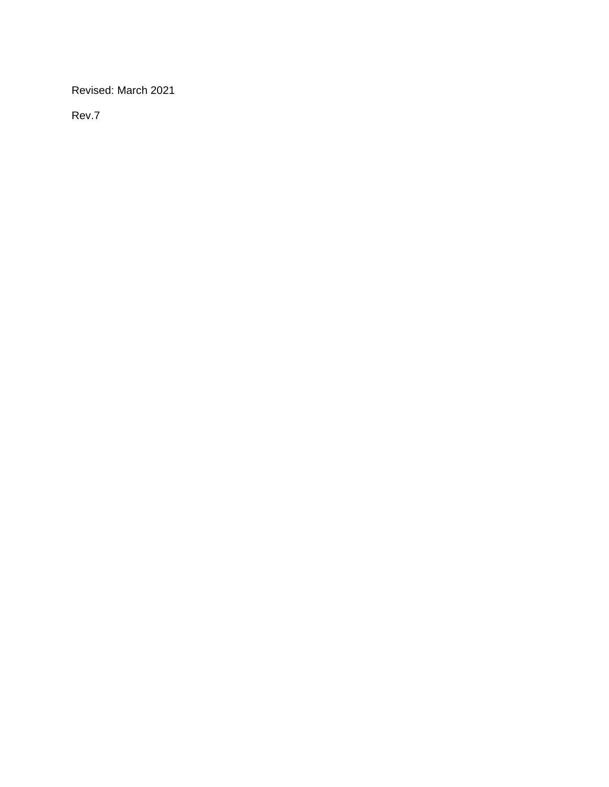Revised: March 2021

Rev.7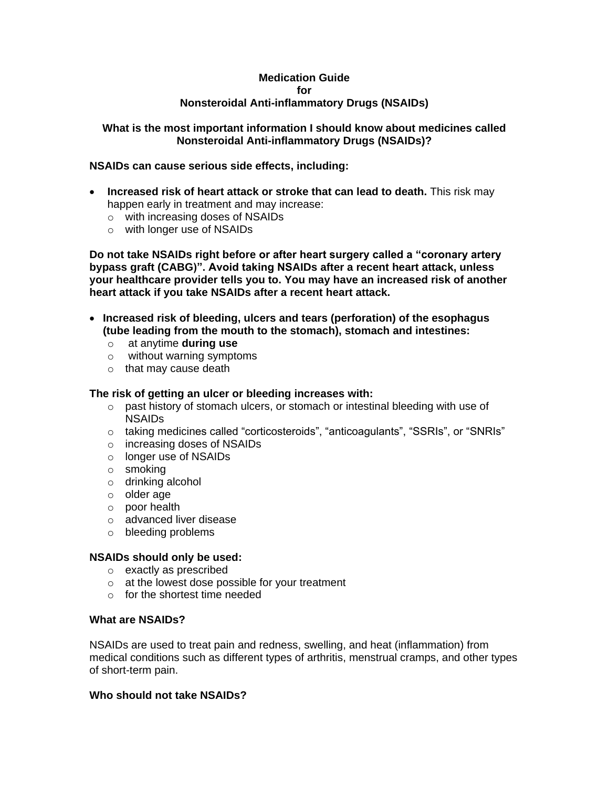#### **Medication Guide for Nonsteroidal Anti-inflammatory Drugs (NSAIDs)**

### <span id="page-19-2"></span><span id="page-19-1"></span><span id="page-19-0"></span>**What is the most important information I should know about medicines called Nonsteroidal Anti-inflammatory Drugs (NSAIDs)?**

### **NSAIDs can cause serious side effects, including:**

- **Increased risk of heart attack or stroke that can lead to death.** This risk may happen early in treatment and may increase:
	- o with increasing doses of NSAIDs
	- o with longer use of NSAIDs

**Do not take NSAIDs right before or after heart surgery called a "coronary artery bypass graft (CABG)". Avoid taking NSAIDs after a recent heart attack, unless your healthcare provider tells you to. You may have an increased risk of another heart attack if you take NSAIDs after a recent heart attack.**

- **Increased risk of bleeding, ulcers and tears (perforation) of the esophagus (tube leading from the mouth to the stomach), stomach and intestines:** 
	- o at anytime **during use**
	- o without warning symptoms
	- o that may cause death

### **The risk of getting an ulcer or bleeding increases with:**

- o past history of stomach ulcers, or stomach or intestinal bleeding with use of NSAIDs
- o taking medicines called "corticosteroids", "anticoagulants", "SSRIs", or "SNRIs"
- o increasing doses of NSAIDs
- o longer use of NSAIDs
- o smoking
- o drinking alcohol
- o older age
- o poor health
- o advanced liver disease
- o bleeding problems

### **NSAIDs should only be used:**

- o exactly as prescribed
- o at the lowest dose possible for your treatment
- $\circ$  for the shortest time needed

### **What are NSAIDs?**

NSAIDs are used to treat pain and redness, swelling, and heat (inflammation) from medical conditions such as different types of arthritis, menstrual cramps, and other types of short-term pain.

### **Who should not take NSAIDs?**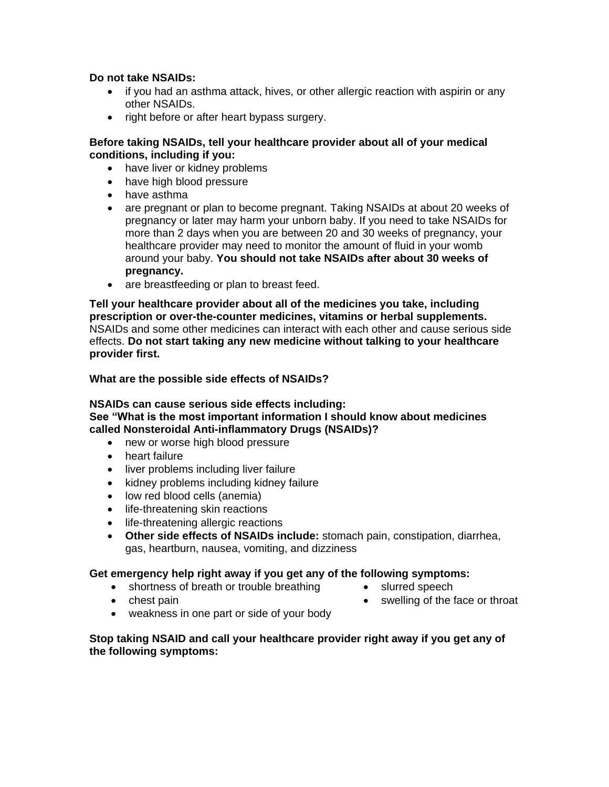### **Do not take NSAIDs:**

- if you had an asthma attack, hives, or other allergic reaction with aspirin or any other NSAIDs.
- right before or after heart bypass surgery.

### **Before taking NSAIDs, tell your healthcare provider about all of your medical conditions, including if you:**

- have liver or kidney problems
- have high blood pressure
- have asthma
- are pregnant or plan to become pregnant. Taking NSAIDs at about 20 weeks of pregnancy or later may harm your unborn baby. If you need to take NSAIDs for more than 2 days when you are between 20 and 30 weeks of pregnancy, your healthcare provider may need to monitor the amount of fluid in your womb around your baby. **You should not take NSAIDs after about 30 weeks of pregnancy.**
- are breastfeeding or plan to breast feed.

**Tell your healthcare provider about all of the medicines you take, including prescription or over-the-counter medicines, vitamins or herbal supplements.**  NSAIDs and some other medicines can interact with each other and cause serious side effects. **Do not start taking any new medicine without talking to your healthcare provider first.**

### **What are the possible side effects of NSAIDs?**

### **NSAIDs can cause serious side effects including: See "What is the most important information I should know about medicines called Nonsteroidal Anti-inflammatory Drugs (NSAIDs)?**

- new or worse high blood pressure
- heart failure
- liver problems including liver failure
- kidney problems including kidney failure
- low red blood cells (anemia)
- life-threatening skin reactions
- life-threatening allergic reactions
- **Other side effects of NSAIDs include:** stomach pain, constipation, diarrhea, gas, heartburn, nausea, vomiting, and dizziness

### **Get emergency help right away if you get any of the following symptoms:**

- shortness of breath or trouble breathing • slurred speech
- chest pain
- 
- swelling of the face or throat
- weakness in one part or side of your body

### **Stop taking NSAID and call your healthcare provider right away if you get any of the following symptoms:**